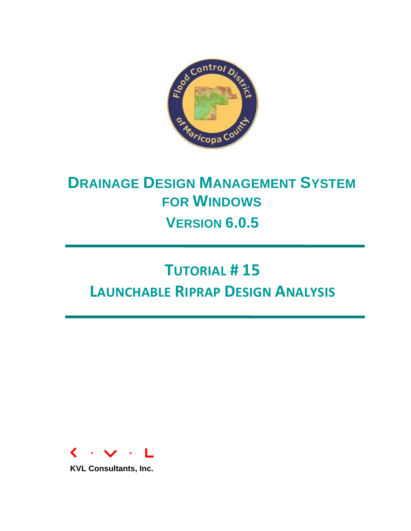

# **DRAINAGE DESIGN MANAGEMENT SYSTEM FOR WINDOWS VERSION 6.0.5**

# **TUTORIAL # 15 LAUNCHABLE RIPRAP DESIGN ANALYSIS**



**KVL Consultants, Inc.**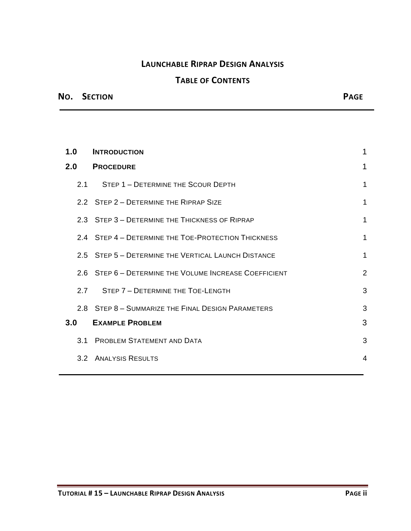### **LAUNCHABLE RIPRAP DESIGN ANALYSIS**

# **TABLE OF CONTENTS**

### **NO. SECTION PAGE**

| 1.0 |     | <b>INTRODUCTION</b>                                    | 1              |
|-----|-----|--------------------------------------------------------|----------------|
|     |     | 2.0 PROCEDURE                                          | 1              |
|     | 2.1 | STEP 1 - DETERMINE THE SCOUR DEPTH                     | 1              |
|     |     | 2.2 STEP 2 - DETERMINE THE RIPRAP SIZE                 | 1              |
|     |     | 2.3 STEP 3 - DETERMINE THE THICKNESS OF RIPRAP         | 1              |
|     |     | 2.4 STEP 4 - DETERMINE THE TOE-PROTECTION THICKNESS    | 1              |
|     |     | 2.5 STEP 5 - DETERMINE THE VERTICAL LAUNCH DISTANCE    | 1              |
|     |     | 2.6 STEP 6 - DETERMINE THE VOLUME INCREASE COEFFICIENT | $\overline{2}$ |
|     | 2.7 | STEP 7 - DETERMINE THE TOE-LENGTH                      | 3              |
|     |     | 2.8 STEP 8 - SUMMARIZE THE FINAL DESIGN PARAMETERS     | 3              |
| 3.0 |     | <b>EXAMPLE PROBLEM</b>                                 | 3              |
|     |     | 3.1 PROBLEM STATEMENT AND DATA                         | 3              |
|     |     | 3.2 ANALYSIS RESULTS                                   | $\overline{4}$ |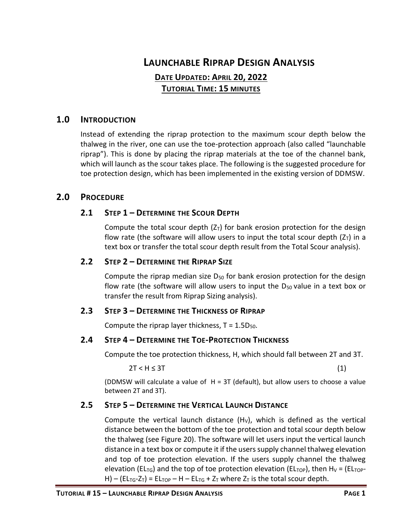## **LAUNCHABLE RIPRAP DESIGN ANALYSIS**

## **DATE UPDATED: APRIL 20, 2022 TUTORIAL TIME: 15 MINUTES**

#### <span id="page-2-0"></span>**1.0 INTRODUCTION**

Instead of extending the riprap protection to the maximum scour depth below the thalweg in the river, one can use the toe-protection approach (also called "launchable riprap"). This is done by placing the riprap materials at the toe of the channel bank, which will launch as the scour takes place. The following is the suggested procedure for toe protection design, which has been implemented in the existing version of DDMSW.

#### <span id="page-2-2"></span><span id="page-2-1"></span>**2.0 PROCEDURE**

#### **2.1 STEP 1 – DETERMINE THE SCOUR DEPTH**

Compute the total scour depth  $(Z_T)$  for bank erosion protection for the design flow rate (the software will allow users to input the total scour depth  $(Z_T)$  in a text box or transfer the total scour depth result from the Total Scour analysis).

#### <span id="page-2-3"></span>**2.2 STEP 2 – DETERMINE THE RIPRAP SIZE**

Compute the riprap median size  $D_{50}$  for bank erosion protection for the design flow rate (the software will allow users to input the  $D_{50}$  value in a text box or transfer the result from Riprap Sizing analysis).

#### <span id="page-2-4"></span>**2.3 STEP 3 – DETERMINE THE THICKNESS OF RIPRAP**

Compute the riprap layer thickness,  $T = 1.5D_{50}$ .

#### <span id="page-2-5"></span>**2.4 STEP 4 – DETERMINE THE TOE-PROTECTION THICKNESS**

Compute the toe protection thickness, H, which should fall between 2T and 3T.

 $2T < H \leq 3T$  (1)

(DDMSW will calculate a value of  $H = 3T$  (default), but allow users to choose a value between 2T and 3T).

#### <span id="page-2-6"></span>**2.5 STEP 5 – DETERMINE THE VERTICAL LAUNCH DISTANCE**

Compute the vertical launch distance  $(H<sub>V</sub>)$ , which is defined as the vertical distance between the bottom of the toe protection and total scour depth below the thalweg (see Figure 20). The software will let users input the vertical launch distance in a text box or compute it if the users supply channel thalweg elevation and top of toe protection elevation. If the users supply channel the thalweg elevation (EL<sub>TG</sub>) and the top of toe protection elevation (EL<sub>TOP</sub>), then H<sub>V</sub> = (EL<sub>TOP</sub>-H) – (EL<sub>TG</sub>-Z<sub>T</sub>) = EL<sub>TOP</sub> – H – EL<sub>TG</sub> + Z<sub>T</sub> where Z<sub>T</sub> is the total scour depth.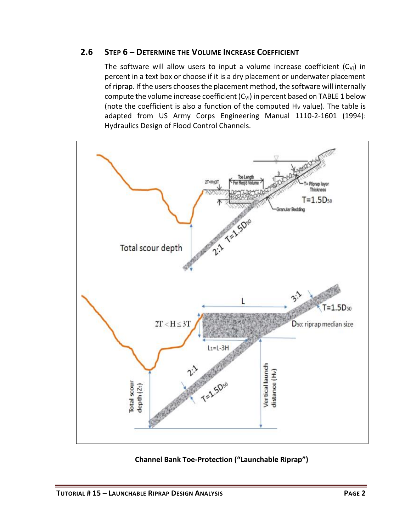#### <span id="page-3-0"></span>**2.6 STEP 6 – DETERMINE THE VOLUME INCREASE COEFFICIENT**

The software will allow users to input a volume increase coefficient  $(C_{V1})$  in percent in a text box or choose if it is a dry placement or underwater placement of riprap. If the users chooses the placement method, the software will internally compute the volume increase coefficient  $(C_{V1})$  in percent based on TABLE 1 below (note the coefficient is also a function of the computed  $H_V$  value). The table is adapted from US Army Corps Engineering Manual 1110-2-1601 (1994): Hydraulics Design of Flood Control Channels.



**Channel Bank Toe-Protection ("Launchable Riprap")**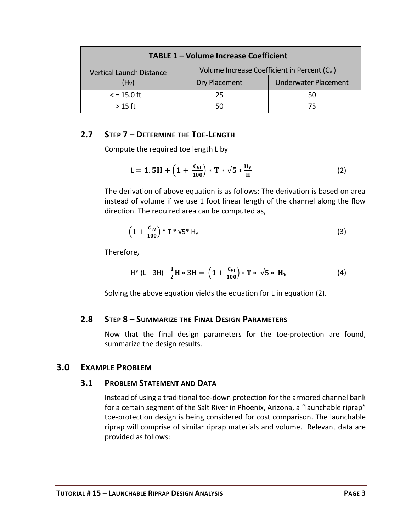| <b>TABLE 1-Volume Increase Coefficient</b> |                                                           |                             |  |  |  |
|--------------------------------------------|-----------------------------------------------------------|-----------------------------|--|--|--|
| <b>Vertical Launch Distance</b>            | Volume Increase Coefficient in Percent (C <sub>VI</sub> ) |                             |  |  |  |
| (H <sub>V</sub> )                          | Dry Placement                                             | <b>Underwater Placement</b> |  |  |  |
| $\epsilon$ = 15.0 ft                       | 25                                                        | 50                          |  |  |  |
| $>15$ ft                                   |                                                           | 75                          |  |  |  |

#### <span id="page-4-0"></span>**2.7 STEP 7 – DETERMINE THE TOE-LENGTH**

Compute the required toe length L by

$$
L = 1.5H + \left(1 + \frac{C_{VI}}{100}\right) * T * \sqrt{5} * \frac{H_V}{H}
$$
 (2)

The derivation of above equation is as follows: The derivation is based on area instead of volume if we use 1 foot linear length of the channel along the flow direction. The required area can be computed as,

$$
\left(1+\frac{c_{VI}}{100}\right)*T*V5*H_V
$$
\n(3)

Therefore,

$$
H^* (L-3H) + \frac{1}{2}H * 3H = \left(1 + \frac{C_{VI}}{100}\right) * T * \sqrt{5} * H_V
$$
 (4)

Solving the above equation yields the equation for L in equation (2).

#### <span id="page-4-1"></span>**2.8 STEP 8 – SUMMARIZE THE FINAL DESIGN PARAMETERS**

Now that the final design parameters for the toe-protection are found, summarize the design results.

#### <span id="page-4-3"></span><span id="page-4-2"></span>**3.0 EXAMPLE PROBLEM**

#### **3.1 PROBLEM STATEMENT AND DATA**

Instead of using a traditional toe-down protection for the armored channel bank for a certain segment of the Salt River in Phoenix, Arizona, a "launchable riprap" toe-protection design is being considered for cost comparison. The launchable riprap will comprise of similar riprap materials and volume. Relevant data are provided as follows: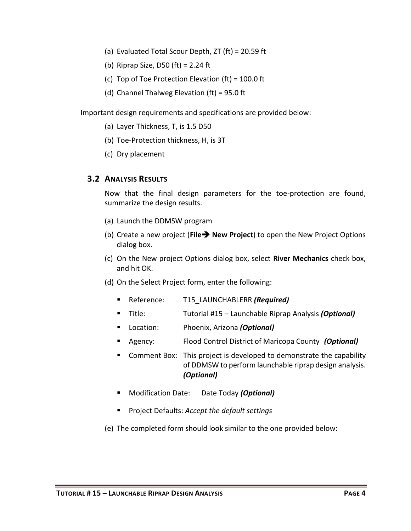- (a) Evaluated Total Scour Depth, ZT (ft) = 20.59 ft
- (b) Riprap Size, D50 (ft) = 2.24 ft
- (c) Top of Toe Protection Elevation (ft) = 100.0 ft
- (d) Channel Thalweg Elevation (ft) = 95.0 ft

Important design requirements and specifications are provided below:

- (a) Layer Thickness, T, is 1.5 D50
- (b) Toe-Protection thickness, H, is 3T
- (c) Dry placement

#### <span id="page-5-0"></span> **3.2 ANALYSIS RESULTS**

Now that the final design parameters for the toe-protection are found, summarize the design results.

- (a) Launch the DDMSW program
- (b) Create a new project (**File**➔ **New Project**) to open the New Project Options dialog box.
- (c) On the New project Options dialog box, select **River Mechanics** check box, and hit OK.
- (d) On the Select Project form, enter the following:
	- Reference: T15\_LAUNCHABLERR *(Required)*
	- Title: Tutorial #15 Launchable Riprap Analysis *(Optional)*
	- Location: Phoenix, Arizona *(Optional)*
	- Agency: Flood Control District of Maricopa County (Optional)
	- Comment Box: This project is developed to demonstrate the capability of DDMSW to perform launchable riprap design analysis. *(Optional)*
	- Modification Date: Date Today *(Optional)*
	- Project Defaults: *Accept the default settings*
- (e) The completed form should look similar to the one provided below: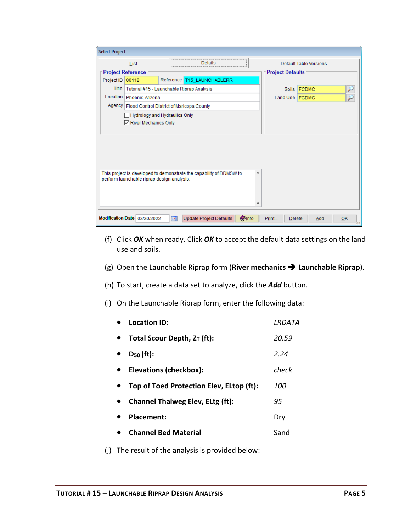| <b>Select Project</b>    |                                                    |     |                                                                     |                         |                        |                        |    |
|--------------------------|----------------------------------------------------|-----|---------------------------------------------------------------------|-------------------------|------------------------|------------------------|----|
|                          | List                                               |     | Details                                                             |                         |                        | Default Table Versions |    |
| <b>Project Reference</b> |                                                    |     |                                                                     | <b>Project Defaults</b> |                        |                        |    |
| Project ID               | 00118                                              |     | Reference T15_LAUNCHABLERR                                          |                         |                        |                        |    |
|                          | Title   Tutorial #15 - Launchable Riprap Analysis  |     |                                                                     |                         | <b>Soils</b>           | <b>FCDMC</b>           |    |
|                          | Location   Phoenix, Arizona                        |     |                                                                     |                         | Land Use   FCDMC       |                        |    |
|                          | Agency   Flood Control District of Maricopa County |     |                                                                     |                         |                        |                        |    |
|                          | Hydrology and Hydraulics Only                      |     |                                                                     |                         |                        |                        |    |
|                          | River Mechanics Only                               |     |                                                                     |                         |                        |                        |    |
|                          |                                                    |     |                                                                     |                         |                        |                        |    |
|                          |                                                    |     |                                                                     |                         |                        |                        |    |
|                          |                                                    |     |                                                                     |                         |                        |                        |    |
|                          |                                                    |     |                                                                     |                         |                        |                        |    |
|                          |                                                    |     |                                                                     |                         |                        |                        |    |
|                          | perform launchable riprap design analysis.         |     | This project is developed to demonstrate the capability of DDMSW to | ۸                       |                        |                        |    |
|                          |                                                    |     |                                                                     |                         |                        |                        |    |
|                          |                                                    |     |                                                                     |                         |                        |                        |    |
|                          |                                                    |     |                                                                     |                         |                        |                        |    |
|                          |                                                    |     |                                                                     |                         |                        |                        |    |
|                          | Modification Date 03/30/2022                       | is. | <b>Update Project Defaults</b>                                      | <b>Olnfo</b>            | Print<br><b>Delete</b> | Add                    | OK |

- (f) Click *OK* when ready. Click *OK* to accept the default data settings on the land use and soils.
- (g) Open the Launchable Riprap form (**River mechanics** ➔ **Launchable Riprap**).
- (h) To start, create a data set to analyze, click the *Add* button.
- (i) On the Launchable Riprap form, enter the following data:

| Location ID:                |                                          | LRDATA |
|-----------------------------|------------------------------------------|--------|
|                             | Total Scour Depth, $Z_T$ (ft):           | 20.59  |
| $D_{50}$ (ft):              |                                          | 2.24   |
|                             | Elevations (checkbox):                   | check  |
|                             | Top of Toed Protection Elev, ELtop (ft): | 100    |
|                             | <b>Channel Thalweg Elev, ELtg (ft):</b>  | 95     |
| Placement:                  |                                          | Dry    |
| <b>Channel Bed Material</b> |                                          | Sand   |
|                             |                                          |        |

(j) The result of the analysis is provided below: